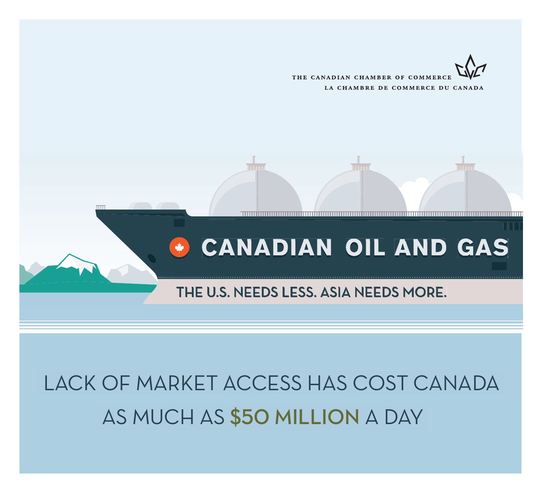



# LACK OF MARKET ACCESS HAS COST CANADA AS MUCH AS \$50 MILLION A DAY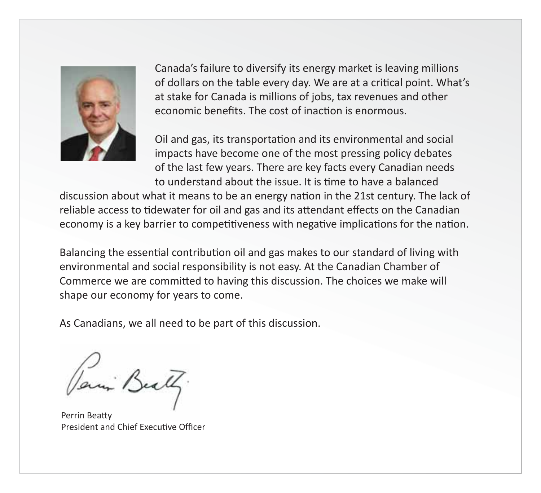

Canada's failure to diversify its energy market is leaving millions of dollars on the table every day. We are at a critical point. What's at stake for Canada is millions of jobs, tax revenues and other economic benefits. The cost of inaction is enormous.

Oil and gas, its transportation and its environmental and social impacts have become one of the most pressing policy debates of the last few years. There are key facts every Canadian needs to understand about the issue. It is time to have a balanced

discussion about what it means to be an energy nation in the 21st century. The lack of reliable access to tidewater for oil and gas and its attendant effects on the Canadian economy is a key barrier to competitiveness with negative implications for the nation.

Balancing the essential contribution oil and gas makes to our standard of living with environmental and social responsibility is not easy. At the Canadian Chamber of Commerce we are committed to having this discussion. The choices we make will shape our economy for years to come.

As Canadians, we all need to be part of this discussion.

Paris Beath.

Perrin Beatty President and Chief Executive Officer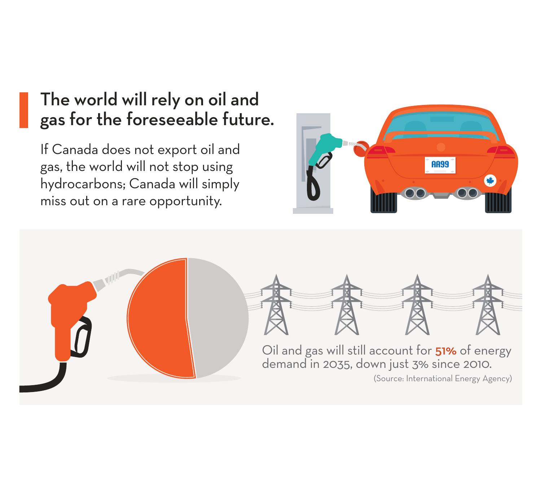### The world will rely on oil and gas for the foreseeable future.

If Canada does not export oil and gas, the world will not stop using hydrocarbons; Canada will simply miss out on a rare opportunity.



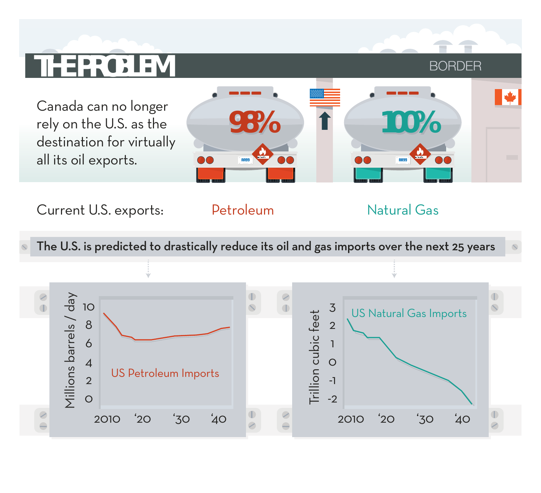# **THE PROBLEM**

Canada can no longer rely on the U.S. as the destination for virtually all its oil exports.



Current U.S. exports: Petroleum

Natural Gas

**BORDER** 

I ₩

The U.S. is predicted to drastically reduce its oil and gas imports over the next 25 years

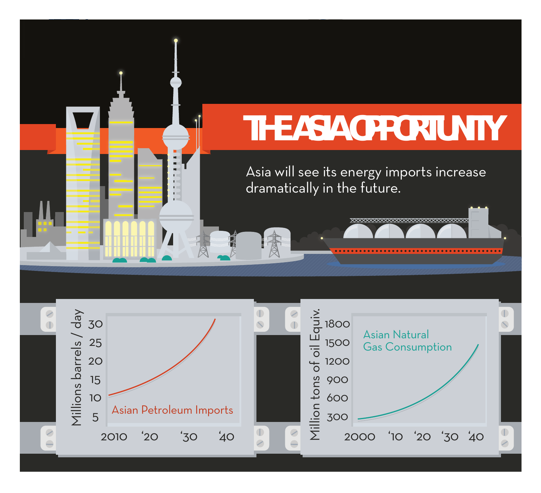#### of Fundy **THE ASIA OPPORTUNITY** Asia will see its energy imports increase dramatically in the future. XXXXXXXXXXXXXXXXXXXXXXXXXXXXX  $\frac{8}{1}$  $\frac{8}{1}$ Villions barrels / day Millions barrels / day Million tons of oil Equiv. 30 1800 Asian Natural 25 1500 Gas Consumption 20 1200 15 900 **10** 600 Asian Petroleum Imports 5 300  $\color{blue}\odot$  $\mathcal{C}$ 2000 '40 '10 '20 '30 2010 '40 '20 '30  $\equiv$  $\equiv$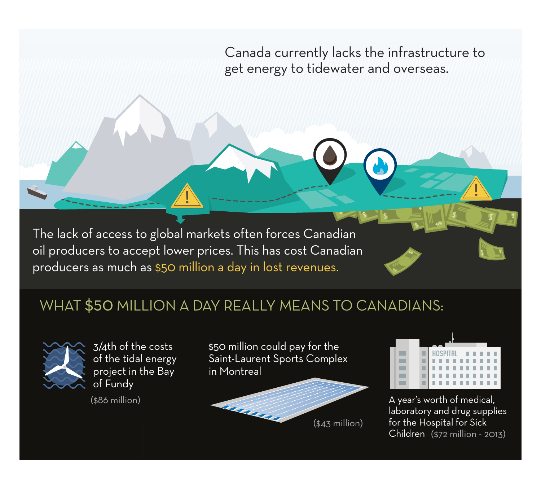Canada currently lacks the infrastructure to get energy to tidewater and overseas.

The lack of access to global markets often forces Canadian oil producers to accept lower prices. This has cost Canadian producers as much as \$50 million a day in lost revenues.

#### WHAT \$50 MILLION A DAY REALLY MEANS TO CANADIANS:



3/4th of the costs of the tidal energy project in the Bay of Fundy

(\$86 million)

\$50 million could pay for the Saint-Laurent Sports Complex in Montreal





A year's worth of medical, laboratory and drug supplies for the Hospital for Sick Children (\$72 million - 2013)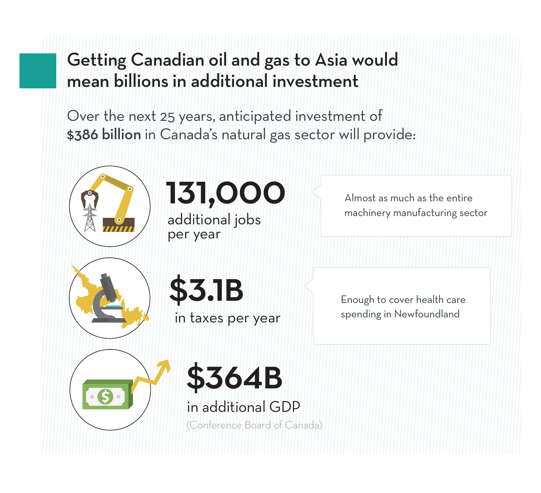# Getting Canadian oil and gas to Asia would mean billions in additional investment

Over the next 25 years, anticipated investment of \$386 billion in Canada's natural gas sector will provide:



# 131,000

additional jobs per year

Almost as much as the entire machinery manufacturing sector

 $$3.1\$  Enough to cover health care

in taxes per year

spending in Newfoundland



in additional GDP

(Conference Board of Canada)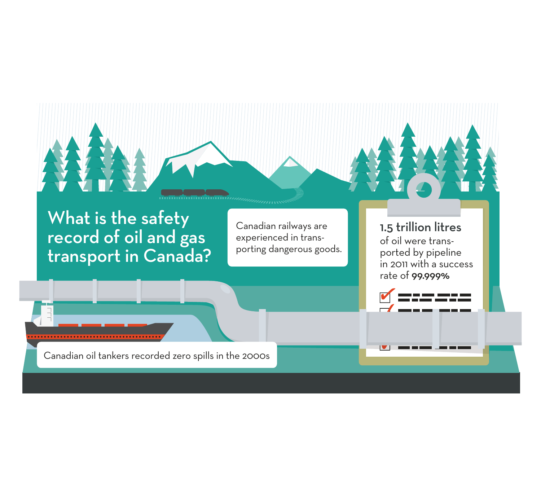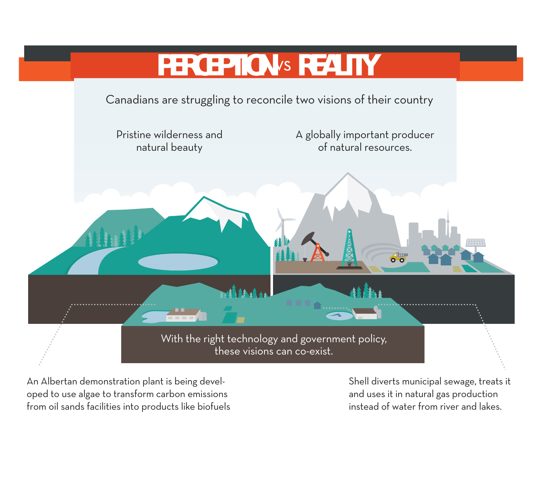

An Albertan demonstration plant is being developed to use algae to transform carbon emissions from oil sands facilities into products like biofuels Shell diverts municipal sewage, treats it and uses it in natural gas production instead of water from river and lakes.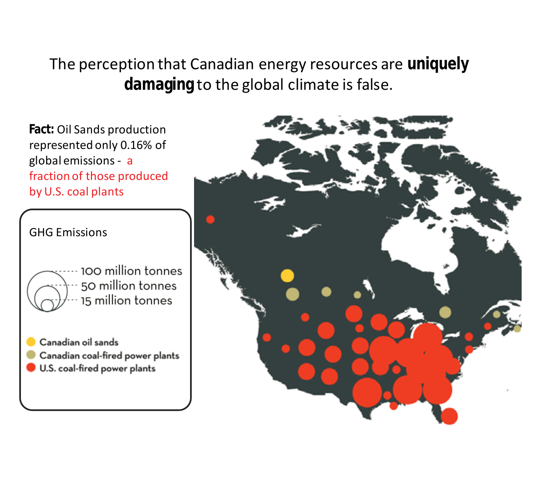The perception that Canadian energy resources are **uniquely damaging** to the global climate is false.

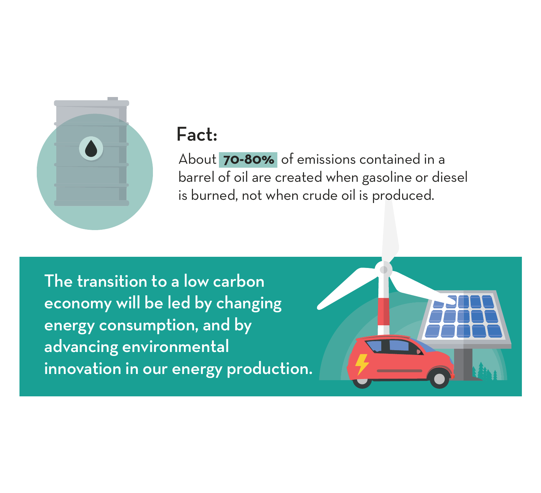

### Fact:

About **70-80%** of emissions contained in a barrel of oil are created when gasoline or diesel is burned, not when crude oil is produced.

The transition to a low carbon economy will be led by changing energy consumption, and by advancing environmental innovation in our energy production.

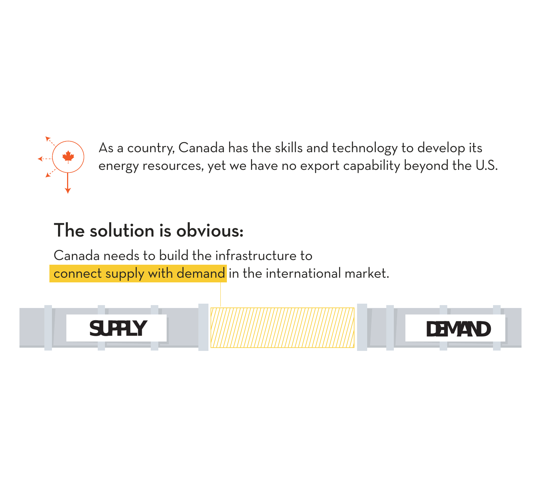

As a country, Canada has the skills and technology to develop its energy resources, yet we have no export capability beyond the U.S.

## The solution is obvious:

Canada needs to build the infrastructure to connect supply with demand in the international market.



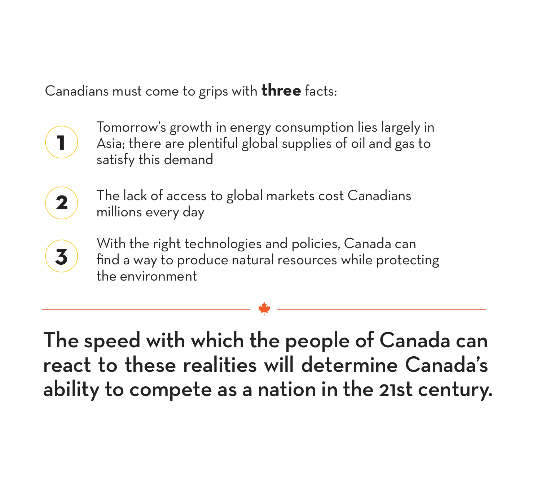Canadians must come to grips with **three** facts:

**1**

Tomorrow's growth in energy consumption lies largely in Asia; there are plentiful global supplies of oil and gas to satisfy this demand

- The lack of access to global markets cost Canadians millions every day **2**
- With the right technologies and policies, Canada can find a way to produce natural resources while protecting the environment **3**

The speed with which the people of Canada can react to these realities will determine Canada's ability to compete as a nation in the 21st century.